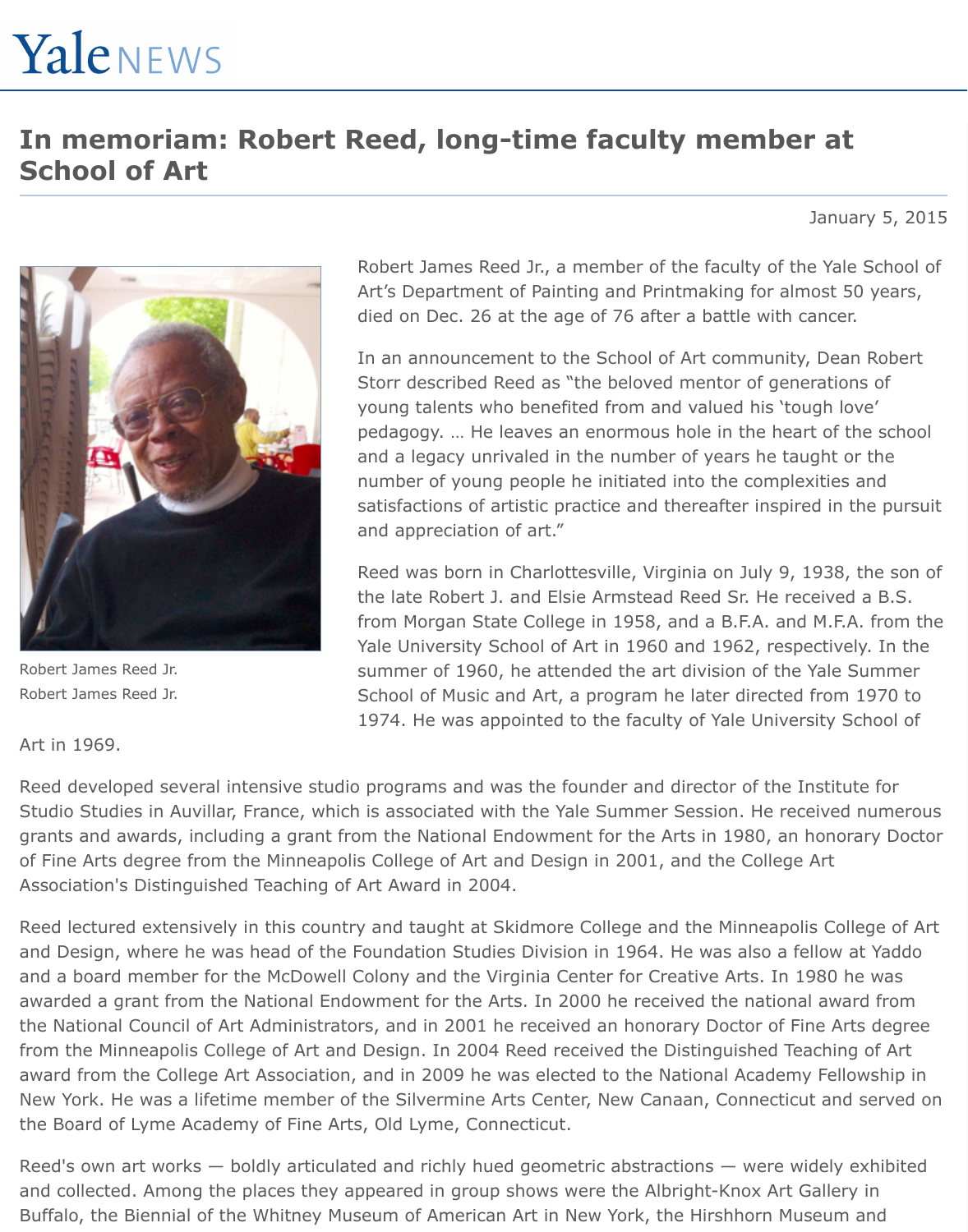## **In memoriam: Robert Reed, long-time faculty member at School of Art**

January 5, 2015



Robert James Reed Jr. Robert James Reed Jr.

Robert James Reed Jr., a member of the faculty of the Yale School of Art's Department of Painting and Printmaking for almost 50 years, died on Dec. 26 at the age of 76 after a battle with cancer.

In an announcement to the School of Art community, Dean Robert Storr described Reed as "the beloved mentor of generations of young talents who benefited from and valued his 'tough love' pedagogy. … He leaves an enormous hole in the heart of the school and a legacy unrivaled in the number of years he taught or the number of young people he initiated into the complexities and satisfactions of artistic practice and thereafter inspired in the pursuit and appreciation of art."

Reed was born in Charlottesville, Virginia on July 9, 1938, the son of the late Robert J. and Elsie Armstead Reed Sr. He received a B.S. from Morgan State College in 1958, and a B.F.A. and M.F.A. from the Yale University School of Art in 1960 and 1962, respectively. In the summer of 1960, he attended the art division of the Yale Summer School of Music and Art, a program he later directed from 1970 to 1974. He was appointed to the faculty of Yale University School of

Art in 1969.

Reed developed several intensive studio programs and was the founder and director of the Institute for Studio Studies in Auvillar, France, which is associated with the Yale Summer Session. He received numerous grants and awards, including a grant from the National Endowment for the Arts in 1980, an honorary Doctor of Fine Arts degree from the Minneapolis College of Art and Design in 2001, and the College Art Association's Distinguished Teaching of Art Award in 2004.

Reed lectured extensively in this country and taught at Skidmore College and the Minneapolis College of Art and Design, where he was head of the Foundation Studies Division in 1964. He was also a fellow at Yaddo and a board member for the McDowell Colony and the Virginia Center for Creative Arts. In 1980 he was awarded a grant from the National Endowment for the Arts. In 2000 he received the national award from the National Council of Art Administrators, and in 2001 he received an honorary Doctor of Fine Arts degree from the Minneapolis College of Art and Design. In 2004 Reed received the Distinguished Teaching of Art award from the College Art Association, and in 2009 he was elected to the National Academy Fellowship in New York. He was a lifetime member of the Silvermine Arts Center, New Canaan, Connecticut and served on the Board of Lyme Academy of Fine Arts, Old Lyme, Connecticut.

Reed's own art works — boldly articulated and richly hued geometric abstractions — were widely exhibited and collected. Among the places they appeared in group shows were the Albright-Knox Art Gallery in Buffalo, the Biennial of the Whitney Museum of American Art in New York, the Hirshhorn Museum and